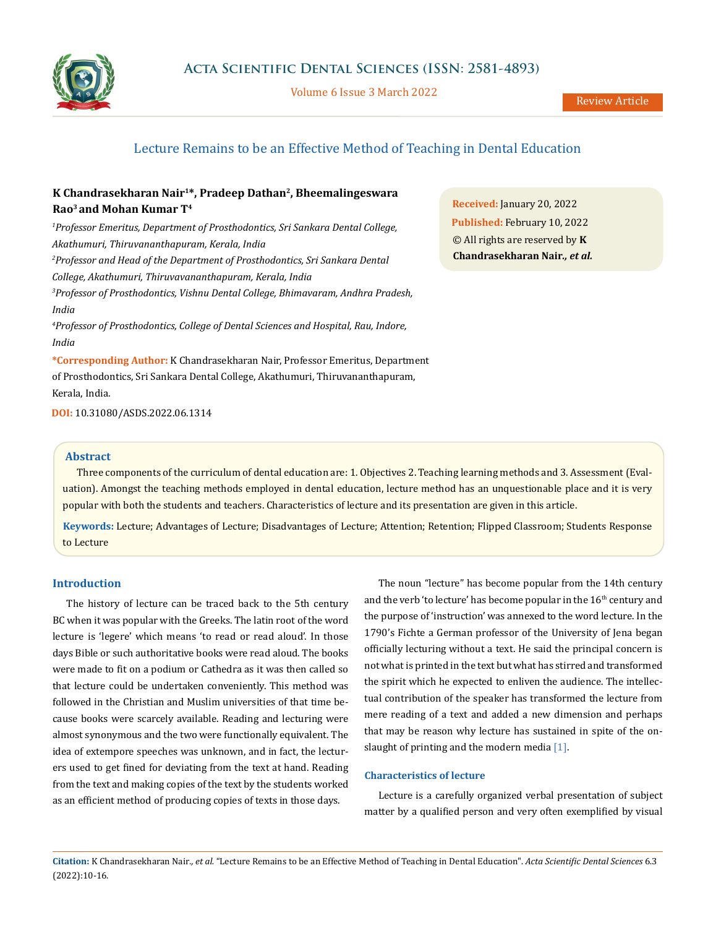

Volume 6 Issue 3 March 2022

# Lecture Remains to be an Effective Method of Teaching in Dental Education

# **K Chandrasekharan Nair1\*, Pradeep Dathan2, Bheemalingeswara Rao3 and Mohan Kumar T4**

*1 Professor Emeritus, Department of Prosthodontics, Sri Sankara Dental College, Akathumuri, Thiruvananthapuram, Kerala, India 2 Professor and Head of the Department of Prosthodontics, Sri Sankara Dental College, Akathumuri, Thiruvavananthapuram, Kerala, India 3 Professor of Prosthodontics, Vishnu Dental College, Bhimavaram, Andhra Pradesh, India 4 Professor of Prosthodontics, College of Dental Sciences and Hospital, Rau, Indore, India*

**\*Corresponding Author:** K Chandrasekharan Nair, Professor Emeritus, Department of Prosthodontics, Sri Sankara Dental College, Akathumuri, Thiruvananthapuram, Kerala, India.

**DOI:** [10.31080/ASDS.2022.06.131](https://actascientific.com/ASDS/pdf/ASDS-06-1314.pdf)4

### **Abstract**

Three components of the curriculum of dental education are: 1. Objectives 2. Teaching learning methods and 3. Assessment (Evaluation). Amongst the teaching methods employed in dental education, lecture method has an unquestionable place and it is very popular with both the students and teachers. Characteristics of lecture and its presentation are given in this article.

**Keywords:** Lecture; Advantages of Lecture; Disadvantages of Lecture; Attention; Retention; Flipped Classroom; Students Response to Lecture

# **Introduction**

The history of lecture can be traced back to the 5th century BC when it was popular with the Greeks. The latin root of the word lecture is 'legere' which means 'to read or read aloud'. In those days Bible or such authoritative books were read aloud. The books were made to fit on a podium or Cathedra as it was then called so that lecture could be undertaken conveniently. This method was followed in the Christian and Muslim universities of that time because books were scarcely available. Reading and lecturing were almost synonymous and the two were functionally equivalent. The idea of extempore speeches was unknown, and in fact, the lecturers used to get fined for deviating from the text at hand. Reading from the text and making copies of the text by the students worked as an efficient method of producing copies of texts in those days.

The noun "lecture" has become popular from the 14th century and the verb 'to lecture' has become popular in the  $16<sup>th</sup>$  century and the purpose of 'instruction' was annexed to the word lecture. In the 1790's Fichte a German professor of the University of Jena began officially lecturing without a text. He said the principal concern is not what is printed in the text but what has stirred and transformed the spirit which he expected to enliven the audience. The intellectual contribution of the speaker has transformed the lecture from mere reading of a text and added a new dimension and perhaps that may be reason why lecture has sustained in spite of the onslaught of printing and the modern media [1].

### **Characteristics of lecture**

Lecture is a carefully organized verbal presentation of subject matter by a qualified person and very often exemplified by visual

**Received:** January 20, 2022 **Published:** February 10, 2022 © All rights are reserved by **K Chandrasekharan Nair***., et al.*

**Citation:** K Chandrasekharan Nair*., et al.* "Lecture Remains to be an Effective Method of Teaching in Dental Education". *Acta Scientific Dental Sciences* 6.3 (2022):10-16.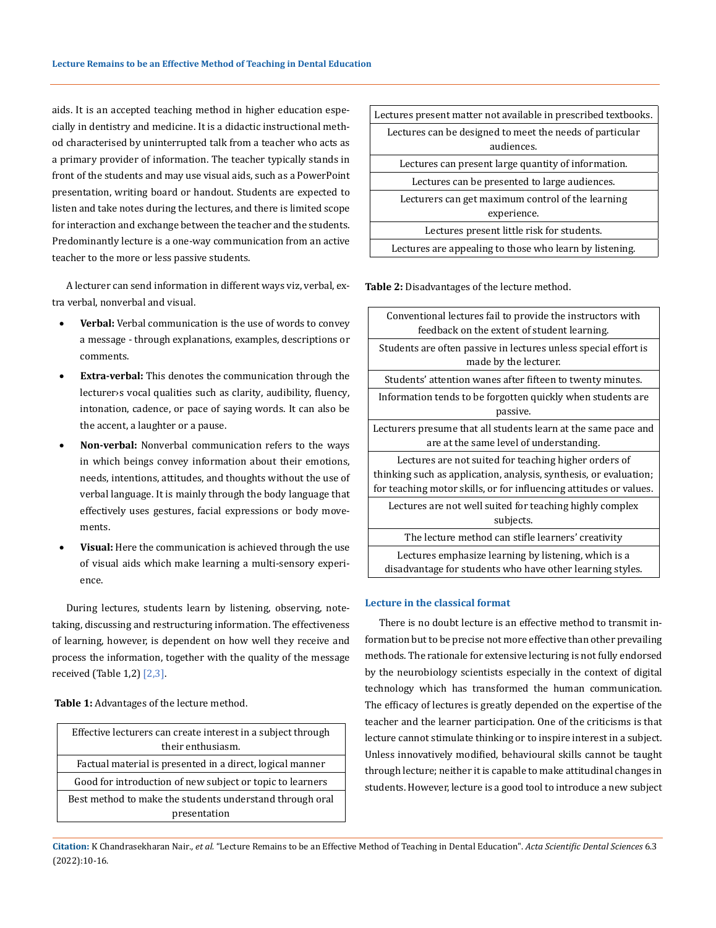aids. It is an accepted teaching method in higher education especially in dentistry and medicine. It is a didactic instructional method characterised by uninterrupted talk from a teacher who acts as a primary provider of information. The teacher typically stands in front of the students and may use visual aids, such as a PowerPoint presentation, writing board or handout. Students are expected to listen and take notes during the lectures, and there is limited scope for interaction and exchange between the teacher and the students. Predominantly lecture is a one-way communication from an active teacher to the more or less passive students.

A lecturer can send information in different ways viz, verbal, extra verbal, nonverbal and visual.

- Verbal: Verbal communication is the use of words to convey a message - through explanations, examples, descriptions or comments.
- **Extra-verbal:** This denotes the communication through the lecturer›s vocal qualities such as clarity, audibility, fluency, intonation, cadence, or pace of saying words. It can also be the accent, a laughter or a pause.
- Non-verbal: Nonverbal communication refers to the ways in which beings convey information about their emotions, needs, intentions, attitudes, and thoughts without the use of verbal language. It is mainly through the body language that effectively uses gestures, facial expressions or body movements.
- Visual: Here the communication is achieved through the use of visual aids which make learning a multi-sensory experience.

During lectures, students learn by listening, observing, notetaking, discussing and restructuring information. The effectiveness of learning, however, is dependent on how well they receive and process the information, together with the quality of the message received (Table 1,2) [2,3].

**Table 1:** Advantages of the lecture method.

| Effective lecturers can create interest in a subject through |
|--------------------------------------------------------------|
| their enthusiasm.                                            |
| Factual material is presented in a direct, logical manner    |
| Good for introduction of new subject or topic to learners    |
| Best method to make the students understand through oral     |
| presentation                                                 |

| Lectures present matter not available in prescribed textbooks.         |
|------------------------------------------------------------------------|
| Lectures can be designed to meet the needs of particular<br>audiences. |
| Lectures can present large quantity of information.                    |
| Lectures can be presented to large audiences.                          |
| Lecturers can get maximum control of the learning                      |
| experience.                                                            |
| Lectures present little risk for students.                             |
| Lectures are appealing to those who learn by listening.                |

**Table 2:** Disadvantages of the lecture method.

| Conventional lectures fail to provide the instructors with<br>feedback on the extent of student learning.                                                                                        |
|--------------------------------------------------------------------------------------------------------------------------------------------------------------------------------------------------|
| Students are often passive in lectures unless special effort is<br>made by the lecturer.                                                                                                         |
| Students' attention wanes after fifteen to twenty minutes.                                                                                                                                       |
| Information tends to be forgotten quickly when students are<br>passive.                                                                                                                          |
| Lecturers presume that all students learn at the same pace and<br>are at the same level of understanding.                                                                                        |
| Lectures are not suited for teaching higher orders of<br>thinking such as application, analysis, synthesis, or evaluation;<br>for teaching motor skills, or for influencing attitudes or values. |
| Lectures are not well suited for teaching highly complex<br>subjects.                                                                                                                            |
| The lecture method can stifle learners' creativity                                                                                                                                               |
| Lectures emphasize learning by listening, which is a<br>disadvantage for students who have other learning styles.                                                                                |

### **Lecture in the classical format**

There is no doubt lecture is an effective method to transmit information but to be precise not more effective than other prevailing methods. The rationale for extensive lecturing is not fully endorsed by the neurobiology scientists especially in the context of digital technology which has transformed the human communication. The efficacy of lectures is greatly depended on the expertise of the teacher and the learner participation. One of the criticisms is that lecture cannot stimulate thinking or to inspire interest in a subject. Unless innovatively modified, behavioural skills cannot be taught through lecture; neither it is capable to make attitudinal changes in students. However, lecture is a good tool to introduce a new subject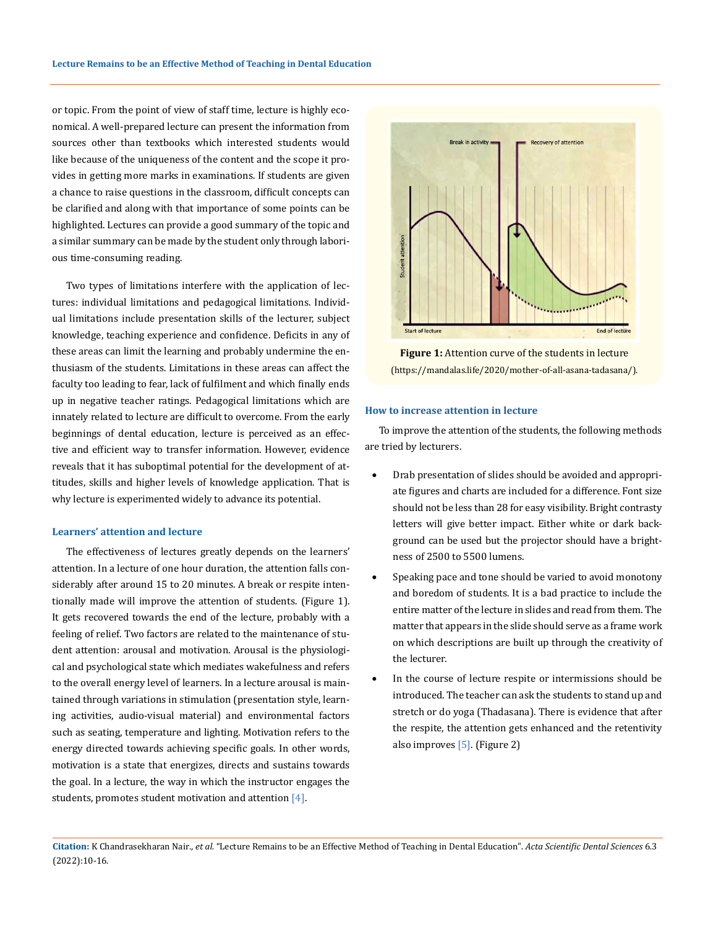or topic. From the point of view of staff time, lecture is highly economical. A well-prepared lecture can present the information from sources other than textbooks which interested students would like because of the uniqueness of the content and the scope it provides in getting more marks in examinations. If students are given a chance to raise questions in the classroom, difficult concepts can be clarified and along with that importance of some points can be highlighted. Lectures can provide a good summary of the topic and a similar summary can be made by the student only through laborious time-consuming reading.

Two types of limitations interfere with the application of lectures: individual limitations and pedagogical limitations. Individual limitations include presentation skills of the lecturer, subject knowledge, teaching experience and confidence. Deficits in any of these areas can limit the learning and probably undermine the enthusiasm of the students. Limitations in these areas can affect the faculty too leading to fear, lack of fulfilment and which finally ends up in negative teacher ratings. Pedagogical limitations which are innately related to lecture are difficult to overcome. From the early beginnings of dental education, lecture is perceived as an effective and efficient way to transfer information. However, evidence reveals that it has suboptimal potential for the development of attitudes, skills and higher levels of knowledge application. That is why lecture is experimented widely to advance its potential.

#### **Learners' attention and lecture**

The effectiveness of lectures greatly depends on the learners' attention. In a lecture of one hour duration, the attention falls considerably after around 15 to 20 minutes. A break or respite intentionally made will improve the attention of students. (Figure 1). It gets recovered towards the end of the lecture, probably with a feeling of relief. Two factors are related to the maintenance of student attention: arousal and motivation. Arousal is the [physiologi](https://en.wikipedia.org/wiki/Physiology)[cal](https://en.wikipedia.org/wiki/Physiology) and [psychological](https://en.wikipedia.org/wiki/Psychology) state which mediates wakefulness and refers to the overall energy level of learners. In a lecture arousal is maintained through variations in stimulation (presentation style, learning activities, audio-visual material) and environmental factors such as seating, temperature and lighting. Motivation refers to the energy directed towards achieving specific goals. In other words, motivation is a state that energizes, directs and sustains towards the goal. In a lecture, the way in which the instructor engages the students, promotes student motivation and attention [4].



**Figure 1:** Attention curve of the students in lecture (https://mandalas.life/2020/mother-of-all-asana-tadasana/).

#### **How to increase attention in lecture**

To improve the attention of the students, the following methods are tried by lecturers.

- Drab presentation of slides should be avoided and appropriate figures and charts are included for a difference. Font size should not be less than 28 for easy visibility. Bright contrasty letters will give better impact. Either white or dark background can be used but the projector should have a brightness of 2500 to 5500 lumens.
- Speaking pace and tone should be varied to avoid monotony and boredom of students. It is a bad practice to include the entire matter of the lecture in slides and read from them. The matter that appears in the slide should serve as a frame work on which descriptions are built up through the creativity of the lecturer.
- In the course of lecture respite or intermissions should be introduced. The teacher can ask the students to stand up and stretch or do yoga (Thadasana). There is evidence that after the respite, the attention gets enhanced and the retentivity also improves [5]. (Figure 2)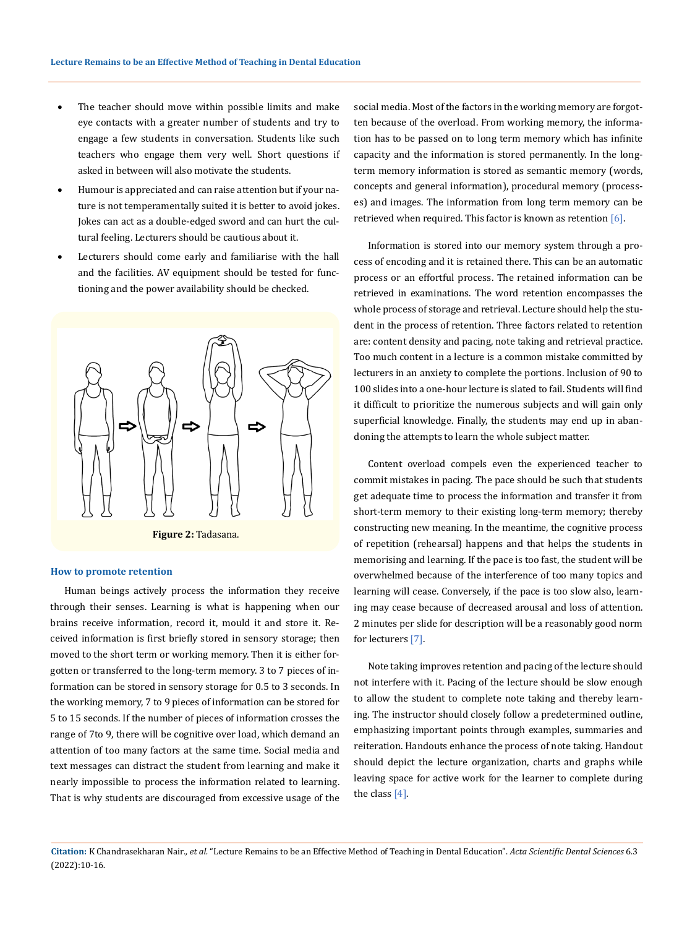- The teacher should move within possible limits and make eye contacts with a greater number of students and try to engage a few students in conversation. Students like such teachers who engage them very well. Short questions if asked in between will also motivate the students.
- Humour is appreciated and can raise attention but if your nature is not temperamentally suited it is better to avoid jokes. Jokes can act as a double-edged sword and can hurt the cultural feeling. Lecturers should be cautious about it.
- Lecturers should come early and familiarise with the hall and the facilities. AV equipment should be tested for functioning and the power availability should be checked.



#### **How to promote retention**

Human beings actively process the information they receive through their senses. Learning is what is happening when our brains receive information, record it, mould it and store it. Received information is first briefly stored in sensory storage; then moved to the short term or working memory. Then it is either forgotten or transferred to the long-term memory. 3 to 7 pieces of information can be stored in sensory storage for 0.5 to 3 seconds. In the working memory, 7 to 9 pieces of information can be stored for 5 to 15 seconds. If the number of pieces of information crosses the range of 7to 9, there will be cognitive over load, which demand an attention of too many factors at the same time. Social media and text messages can distract the student from learning and make it nearly impossible to process the information related to learning. That is why students are discouraged from excessive usage of the

social media. Most of the factors in the working memory are forgotten because of the overload. From working memory, the information has to be passed on to long term memory which has infinite capacity and the information is stored permanently. In the longterm memory information is stored as semantic memory (words, concepts and general information), procedural memory (processes) and images. The information from long term memory can be retrieved when required. This factor is known as retention [6].

Information is stored into our memory system through a process of encoding and it is retained there. This can be an automatic process or an effortful process. The retained information can be retrieved in examinations. The word retention encompasses the whole process of storage and retrieval. Lecture should help the student in the process of retention. Three factors related to retention are: content density and pacing, note taking and retrieval practice. Too much content in a lecture is a common mistake committed by lecturers in an anxiety to complete the portions. Inclusion of 90 to 100 slides into a one-hour lecture is slated to fail. Students will find it difficult to prioritize the numerous subjects and will gain only superficial knowledge. Finally, the students may end up in abandoning the attempts to learn the whole subject matter.

Content overload compels even the experienced teacher to commit mistakes in pacing. The pace should be such that students get adequate time to process the information and transfer it from short-term memory to their existing long-term memory; thereby constructing new meaning. In the meantime, the cognitive process of repetition (rehearsal) happens and that helps the students in memorising and learning. If the pace is too fast, the student will be overwhelmed because of the interference of too many topics and learning will cease. Conversely, if the pace is too slow also, learning may cease because of decreased arousal and loss of attention. 2 minutes per slide for description will be a reasonably good norm for lecturers [7].

Note taking improves retention and pacing of the lecture should not interfere with it. Pacing of the lecture should be slow enough to allow the student to complete note taking and thereby learning. The instructor should closely follow a predetermined outline, emphasizing important points through examples, summaries and reiteration. Handouts enhance the process of note taking. Handout should depict the lecture organization, charts and graphs while leaving space for active work for the learner to complete during the class [4].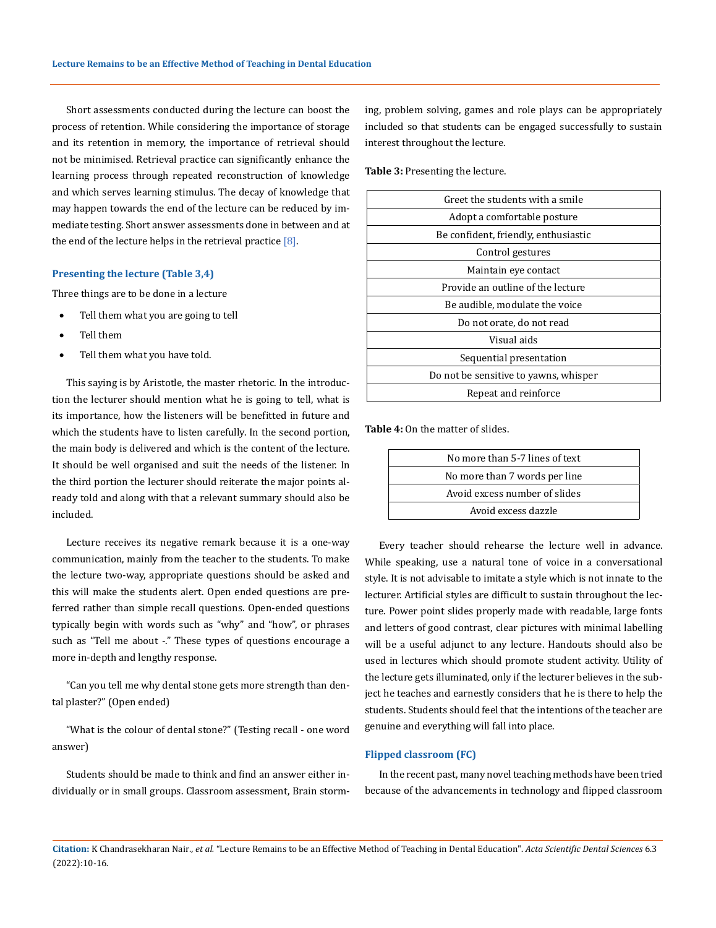Short assessments conducted during the lecture can boost the process of retention. While considering the importance of storage and its retention in memory, the importance of retrieval should not be minimised. Retrieval practice can significantly enhance the learning process through repeated reconstruction of knowledge and which serves learning stimulus. The decay of knowledge that may happen towards the end of the lecture can be reduced by immediate testing. Short answer assessments done in between and at the end of the lecture helps in the retrieval practice  $[8]$ .

#### **Presenting the lecture (Table 3,4)**

Three things are to be done in a lecture

- Tell them what you are going to tell
- Tell them
- Tell them what you have told.

This saying is by Aristotle, the master rhetoric. In the introduction the lecturer should mention what he is going to tell, what is its importance, how the listeners will be benefitted in future and which the students have to listen carefully. In the second portion, the main body is delivered and which is the content of the lecture. It should be well organised and suit the needs of the listener. In the third portion the lecturer should reiterate the major points already told and along with that a relevant summary should also be included.

Lecture receives its negative remark because it is a one-way communication, mainly from the teacher to the students. To make the lecture two-way, appropriate questions should be asked and this will make the students alert. Open ended questions are preferred rather than simple recall questions. Open-ended questions typically begin with words such as "why" and "how", or phrases such as "Tell me about -." These types of questions encourage a more in-depth and lengthy response.

"Can you tell me why dental stone gets more strength than dental plaster?" (Open ended)

"What is the colour of dental stone?" (Testing recall - one word answer)

Students should be made to think and find an answer either individually or in small groups. Classroom assessment, Brain storming, problem solving, games and role plays can be appropriately included so that students can be engaged successfully to sustain interest throughout the lecture.

**Table 3:** Presenting the lecture.

| Greet the students with a smile       |
|---------------------------------------|
| Adopt a comfortable posture           |
| Be confident, friendly, enthusiastic  |
| Control gestures                      |
| Maintain eye contact                  |
| Provide an outline of the lecture     |
| Be audible, modulate the voice        |
| Do not orate, do not read             |
| Visual aids                           |
| Sequential presentation               |
| Do not be sensitive to yawns, whisper |
| Repeat and reinforce                  |
|                                       |

**Table 4:** On the matter of slides.

| No more than 5-7 lines of text |  |
|--------------------------------|--|
| No more than 7 words per line  |  |
| Avoid excess number of slides  |  |
| Avoid excess dazzle            |  |
|                                |  |

Every teacher should rehearse the lecture well in advance. While speaking, use a natural tone of voice in a conversational style. It is not advisable to imitate a style which is not innate to the lecturer. Artificial styles are difficult to sustain throughout the lecture. Power point slides properly made with readable, large fonts and letters of good contrast, clear pictures with minimal labelling will be a useful adjunct to any lecture. Handouts should also be used in lectures which should promote student activity. Utility of the lecture gets illuminated, only if the lecturer believes in the subject he teaches and earnestly considers that he is there to help the students. Students should feel that the intentions of the teacher are genuine and everything will fall into place.

#### **Flipped classroom (FC)**

In the recent past, many novel teaching methods have been tried because of the advancements in technology and flipped classroom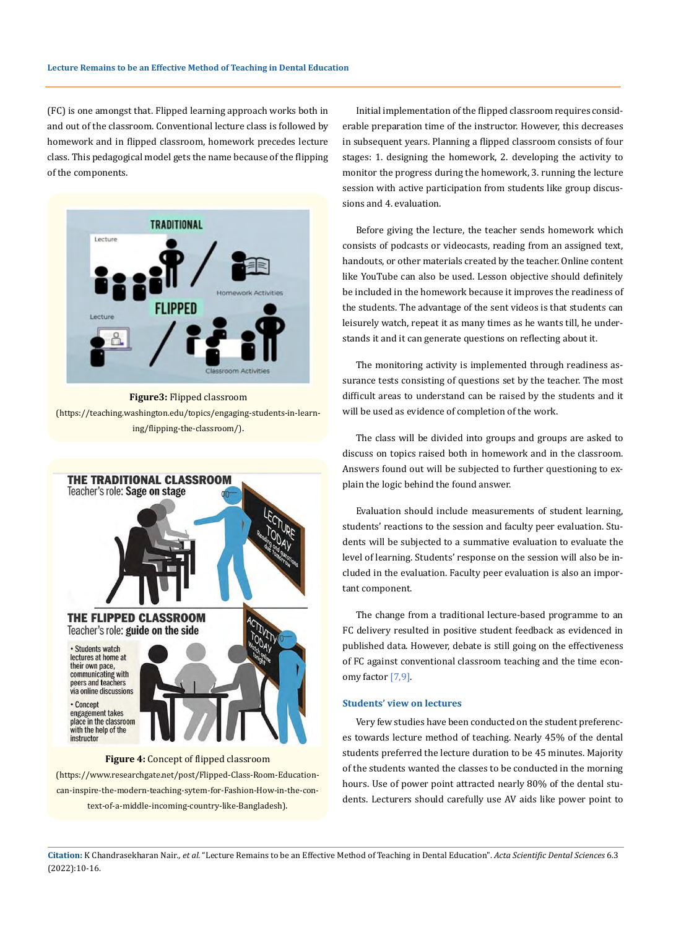(FC) is one amongst that. Flipped learning approach works both in and out of the classroom. Conventional lecture class is followed by homework and in flipped classroom, homework precedes lecture class. This pedagogical model gets the name because of the flipping of the components.



**Figure3:** Flipped classroom (https://teaching.washington.edu/topics/engaging-students-in-learning/flipping-the-classroom/).



(https://www.researchgate.net/post/Flipped-Class-Room-Educationcan-inspire-the-modern-teaching-sytem-for-Fashion-How-in-the-context-of-a-middle-incoming-country-like-Bangladesh).

Initial implementation of the flipped classroom requires considerable preparation time of the instructor. However, this decreases in subsequent years. Planning a flipped classroom consists of four stages: 1. designing the homework, 2. developing the activity to monitor the progress during the homework, 3. running the lecture session with active participation from students like group discussions and 4. evaluation.

Before giving the lecture, the teacher sends homework which consists of podcasts or videocasts, reading from an assigned text, handouts, or other materials created by the teacher. Online content like YouTube can also be used. Lesson objective should definitely be included in the homework because it improves the readiness of the students. The advantage of the sent videos is that students can leisurely watch, repeat it as many times as he wants till, he understands it and it can generate questions on reflecting about it.

The monitoring activity is implemented through readiness assurance tests consisting of questions set by the teacher. The most difficult areas to understand can be raised by the students and it will be used as evidence of completion of the work.

The class will be divided into groups and groups are asked to discuss on topics raised both in homework and in the classroom. Answers found out will be subjected to further questioning to explain the logic behind the found answer.

Evaluation should include measurements of student learning, students' reactions to the session and faculty peer evaluation. Students will be subjected to a summative evaluation to evaluate the level of learning. Students' response on the session will also be included in the evaluation. Faculty peer evaluation is also an important component.

The change from a traditional lecture-based programme to an FC delivery resulted in positive student feedback as evidenced in published data. However, debate is still going on the effectiveness of FC against conventional classroom teaching and the time economy factor [7,9].

## **Students' view on lectures**

Very few studies have been conducted on the student preferences towards lecture method of teaching. Nearly 45% of the dental students preferred the lecture duration to be 45 minutes. Majority of the students wanted the classes to be conducted in the morning hours. Use of power point attracted nearly 80% of the dental students. Lecturers should carefully use AV aids like power point to